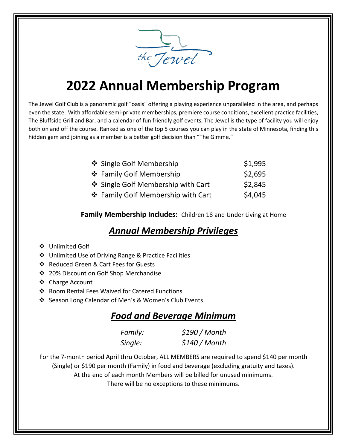

## **2022 Annual Membership Program**

The Jewel Golf Club is a panoramic golf "oasis" offering a playing experience unparalleled in the area, and perhaps even the state. With affordable semi-private memberships, premiere course conditions, excellent practice facilities, The Bluffside Grill and Bar, and a calendar of fun friendly golf events, The Jewel is the type of facility you will enjoy both on and off the course. Ranked as one of the top 5 courses you can play in the state of Minnesota, finding this hidden gem and joining as a member is a better golf decision than "The Gimme."

| ❖ Single Golf Membership           | \$1,995 |
|------------------------------------|---------|
| ❖ Family Golf Membership           | \$2,695 |
| ❖ Single Golf Membership with Cart | \$2,845 |
| ❖ Family Golf Membership with Cart | \$4,045 |

**Family Membership Includes:** Children 18 and Under Living at Home

## *Annual Membership Privileges*

- ❖ Unlimited Golf
- ❖ Unlimited Use of Driving Range & Practice Facilities
- ❖ Reduced Green & Cart Fees for Guests
- ❖ 20% Discount on Golf Shop Merchandise
- ❖ Charge Account
- ❖ Room Rental Fees Waived for Catered Functions
- ❖ Season Long Calendar of Men's & Women's Club Events

## *Food and Beverage Minimum*

| Family: | \$190/Month |
|---------|-------------|
| Single: | \$140/Month |

For the 7-month period April thru October, ALL MEMBERS are required to spend \$140 per month (Single) or \$190 per month (Family) in food and beverage (excluding gratuity and taxes). At the end of each month Members will be billed for unused minimums. There will be no exceptions to these minimums.